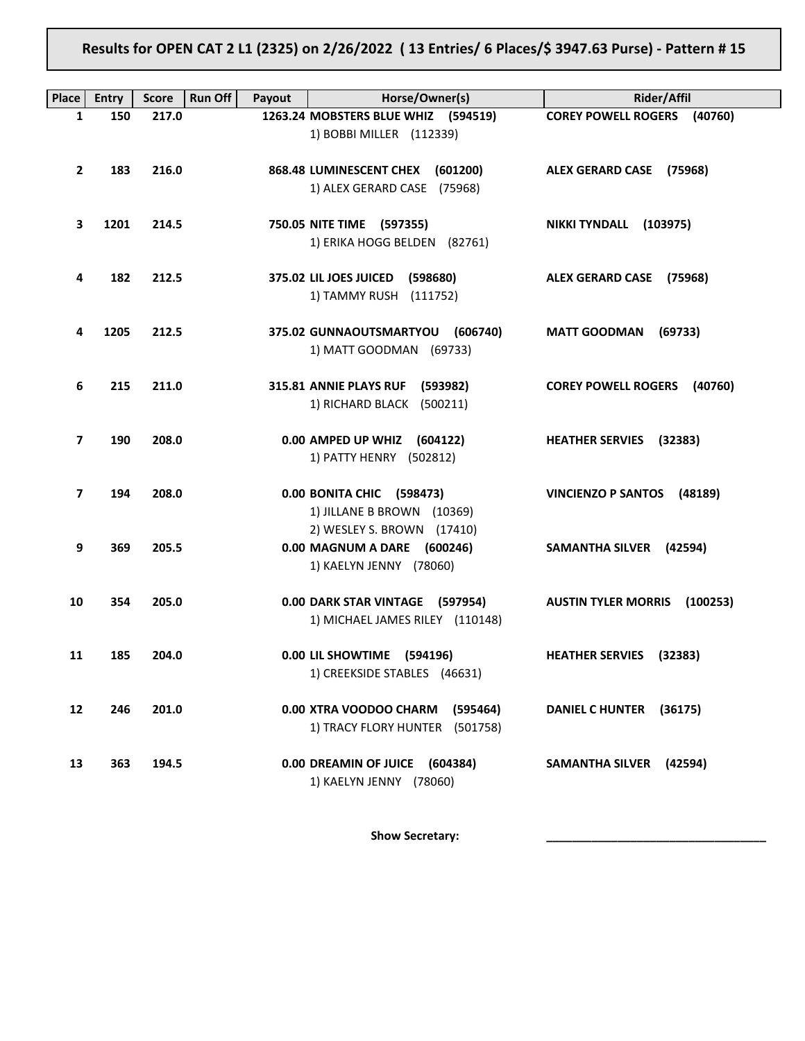Results for OPEN CAT 2 L1 (2325) on 2/26/2022 ( 13 Entries/ 6 Places/\$ 3947.63 Purse) - Pattern # 15

| <b>Place</b> | <b>Entry</b> | <b>Score</b> | <b>Run Off</b><br>Payout | Horse/Owner(s)                                                                       | <b>Rider/Affil</b>                     |
|--------------|--------------|--------------|--------------------------|--------------------------------------------------------------------------------------|----------------------------------------|
| 1            | 150          | 217.0        |                          | 1263.24 MOBSTERS BLUE WHIZ (594519)<br>1) BOBBI MILLER (112339)                      | <b>COREY POWELL ROGERS (40760)</b>     |
| $\mathbf{2}$ | 183          | 216.0        |                          | 868.48 LUMINESCENT CHEX (601200)<br>1) ALEX GERARD CASE (75968)                      | ALEX GERARD CASE (75968)               |
| 3            | 1201         | 214.5        |                          | 750.05 NITE TIME (597355)<br>1) ERIKA HOGG BELDEN (82761)                            | NIKKI TYNDALL (103975)                 |
| 4            | 182          | 212.5        |                          | 375.02 LIL JOES JUICED (598680)<br>1) TAMMY RUSH (111752)                            | ALEX GERARD CASE (75968)               |
| 4            | 1205         | 212.5        |                          | 375.02 GUNNAOUTSMARTYOU (606740)<br>1) MATT GOODMAN (69733)                          | <b>MATT GOODMAN</b><br>(69733)         |
| 6            | 215          | 211.0        |                          | 315.81 ANNIE PLAYS RUF (593982)<br>1) RICHARD BLACK (500211)                         | <b>COREY POWELL ROGERS (40760)</b>     |
| 7            | 190          | 208.0        |                          | 0.00 AMPED UP WHIZ (604122)<br>1) PATTY HENRY (502812)                               | <b>HEATHER SERVIES</b> (32383)         |
| 7            | 194          | 208.0        |                          | 0.00 BONITA CHIC (598473)<br>1) JILLANE B BROWN (10369)                              | VINCIENZO P SANTOS (48189)             |
| 9            | 369          | 205.5        |                          | 2) WESLEY S. BROWN (17410)<br>0.00 MAGNUM A DARE (600246)<br>1) KAELYN JENNY (78060) | SAMANTHA SILVER (42594)                |
| 10           | 354          | 205.0        |                          | 0.00 DARK STAR VINTAGE (597954)<br>1) MICHAEL JAMES RILEY (110148)                   | <b>AUSTIN TYLER MORRIS</b><br>(100253) |
| 11           | 185          | 204.0        |                          | 0.00 LIL SHOWTIME (594196)<br>1) CREEKSIDE STABLES (46631)                           | HEATHER SERVIES (32383)                |
| 12           | 246          | 201.0        |                          | 0.00 XTRA VOODOO CHARM<br>(595464)<br>1) TRACY FLORY HUNTER (501758)                 | <b>DANIEL C HUNTER</b><br>(36175)      |
| 13           | 363          | 194.5        |                          | 0.00 DREAMIN OF JUICE<br>(604384)<br>1) KAELYN JENNY (78060)                         | <b>SAMANTHA SILVER</b><br>(42594)      |

Show Secretary: